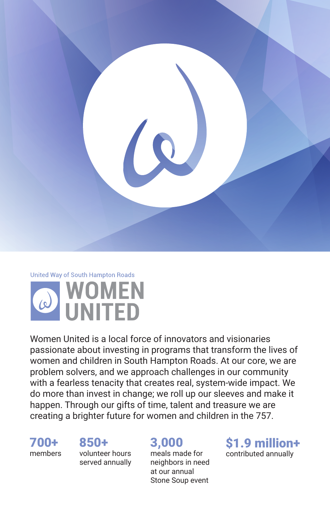

## United Way of South Hampton Roads



Women United is a local force of innovators and visionaries passionate about investing in programs that transform the lives of women and children in South Hampton Roads. At our core, we are problem solvers, and we approach challenges in our community with a fearless tenacity that creates real, system-wide impact. We do more than invest in change; we roll up our sleeves and make it happen. Through our gifts of time, talent and treasure we are creating a brighter future for women and children in the 757.

700+ members

#### 850+

volunteer hours served annually

### 3,000

meals made for neighbors in need at our annual Stone Soup event

\$1.9 million+ contributed annually